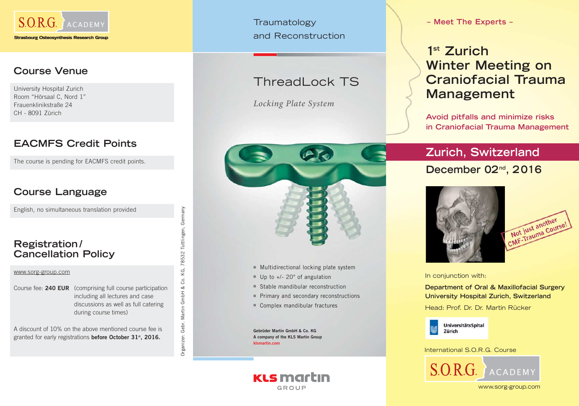

### **Course Venue**

University Hospital Zurich Room "Hörsaal C, Nord 1" Frauenklinikstraße 24 CH - 8091 Zürich

### **EACMFS Credit Points**

The course is pending for EACMFS credit points.

### **Course Language**

English, no simultaneous translation provided

#### **Registration / Cancellation Policy**

#### www.sorg-group.com

Course fee: **240 EUR** (comprising full course participation including all lectures and case discussions as well as full catering during course times)

Organizer: Gebr. Martin GmbH & Co. KG, 78532 Tuttlingen, Germany

co.

Martin GmbH &

Gebr.

Organizer:

KG, 78532 Tuttlingen,

Germany

A discount of 10% on the above mentioned course fee is granted for early registrations **before October 31st, 2016.**

**Traumatology** and Reconstruction

## ThreadLock TS

*Locking Plate System*



- 
- 
- 
- 
- 

**Gebrüder Martin GmbH & Co. KG A company of the KLS Martin Group klust Multidirectional locking plate system ■ Up to +/- 20° of angulation**<br>■ Stable mandibular reconstruction<br>■ Primary and secondary reconstructions<br>■ Complex mandibular fractures<br>**Gebrüder Martin GmbH & Co. KG**<br>**A Com** 

**KLS martin** GROUP

**– Meet The Experts –**

# **1st Zurich Winter Meeting on Craniofacial Trauma Management**

**Avoid pitfalls and minimize risks in Craniofacial Trauma Management**

# **Zurich, Switzerland December 02nd, 2 016**





In conjunction with:

**Department of Oral & Maxillofacial Surgery University Hospital Zurich, Switzerland**

Head: Prof. Dr. Dr. Martin Rücker



International S.O.R.G. Course



www.sorg-group.com